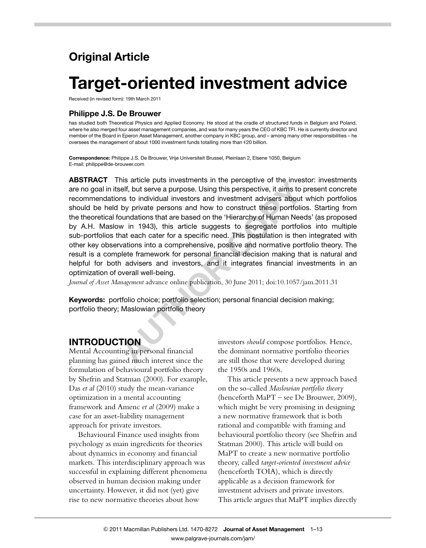# Original Article

# Target-oriented investment advice

Received (in revised form): 19th March 2011

#### Philippe J.S. De Brouwer

has studied both Theoretical Physics and Applied Economy. He stood at the cradle of structured funds in Belgium and Poland. where he also merged four asset management companies, and was for many years the CEO of KBC TFI. He is currently director and member of the Board in Eperon Asset Management, another company in KBC group, and – among many other responsibilities – he oversees the management of about 1000 investment funds totalling more than  $E$ 20 billion.

Correspondence: Philippe J.S. De Brouwer, Vrije Universiteit Brussel, Pleinlaan 2, Elsene 1050, Belgium E-mail: philippe@de-brouwer.com

THE STATE AND THE STATE THE PERITORY THE STATE AND THE STATE AND THE STATE AND THE STATE IN STATE AND THE STATE IN STATE AND FINITE AND FINITE AND FINITE AND FINITE AND FINITE AND FINITE AND FINITE AND SURVEY IS UNITED AND ABSTRACT This article puts investments in the perceptive of the investor: investments are no goal in itself, but serve a purpose. Using this perspective, it aims to present concrete recommendations to individual investors and investment advisers about which portfolios should be held by private persons and how to construct these portfolios. Starting from the theoretical foundations that are based on the 'Hierarchy of Human Needs' (as proposed by A.H. Maslow in 1943), this article suggests to segregate portfolios into multiple sub-portfolios that each cater for a specific need. This postulation is then integrated with other key observations into a comprehensive, positive and normative portfolio theory. The result is a complete framework for personal financial decision making that is natural and helpful for both advisers and investors, and it integrates financial investments in an optimization of overall well-being.

Journal of Asset Management advance online publication, 30 June 2011; doi:10.1057/jam.2011.31

Keywords: portfolio choice; portfolio selection; personal financial decision making; portfolio theory; Maslowian portfolio theory

#### INTRODUCTION

Mental Accounting in personal financial planning has gained much interest since the formulation of behavioural portfolio theory by Shefrin and Statman (2000). For example, Das et al (2010) study the mean-variance optimization in a mental accounting framework and Amenc et al (2009) make a case for an asset-liability management approach for private investors.

Behavioural Finance used insights from psychology as main ingredients for theories about dynamics in economy and financial markets. This interdisciplinary approach was successful in explaining different phenomena observed in human decision making under uncertainty. However, it did not (yet) give rise to new normative theories about how

investors should compose portfolios. Hence, the dominant normative portfolio theories are still those that were developed during the 1950s and 1960s.

This article presents a new approach based on the so-called Maslowian portfolio theory (henceforth MaPT – see De Brouwer, 2009), which might be very promising in designing a new normative framework that is both rational and compatible with framing and behavioural portfolio theory (see Shefrin and Statman 2000). This article will build on MaPT to create a new normative portfolio theory, called target-oriented investment advice (henceforth TOIA), which is directly applicable as a decision framework for investment advisers and private investors. This article argues that MaPT implies directly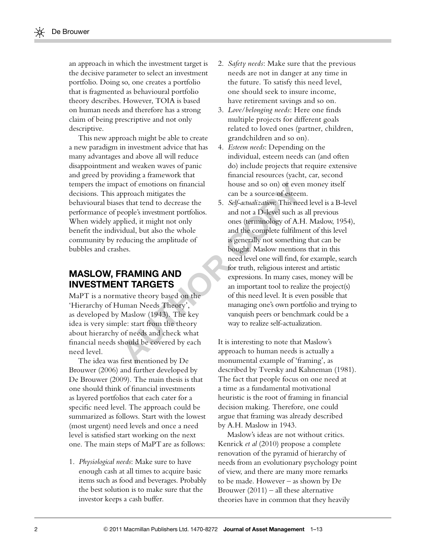an approach in which the investment target is the decisive parameter to select an investment portfolio. Doing so, one creates a portfolio that is fragmented as behavioural portfolio theory describes. However, TOIA is based on human needs and therefore has a strong claim of being prescriptive and not only descriptive.

This new approach might be able to create a new paradigm in investment advice that has many advantages and above all will reduce disappointment and weaken waves of panic and greed by providing a framework that tempers the impact of emotions on financial decisions. This approach mitigates the behavioural biases that tend to decrease the performance of people's investment portfolios. When widely applied, it might not only benefit the individual, but also the whole community by reducing the amplitude of bubbles and crashes.

## MASLOW, FRAMING AND INVESTMENT TARGETS

MaPT is a normative theory based on the 'Hierarchy of Human Needs Theory', as developed by Maslow (1943). The key idea is very simple: start from the theory about hierarchy of needs and check what financial needs should be covered by each need level.

The idea was first mentioned by De Brouwer (2006) and further developed by De Brouwer (2009). The main thesis is that one should think of financial investments as layered portfolios that each cater for a specific need level. The approach could be summarized as follows. Start with the lowest (most urgent) need levels and once a need level is satisfied start working on the next one. The main steps of MaPT are as follows:

1. Physiological needs: Make sure to have enough cash at all times to acquire basic items such as food and beverages. Probably the best solution is to make sure that the investor keeps a cash buffer.

- 2. Safety needs: Make sure that the previous needs are not in danger at any time in the future. To satisfy this need level, one should seek to insure income, have retirement savings and so on.
- 3. Love/belonging needs: Here one finds multiple projects for different goals related to loved ones (partner, children, grandchildren and so on).
- 4. Esteem needs: Depending on the individual, esteem needs can (and often do) include projects that require extensive financial resources (yacht, car, second house and so on) or even money itself can be a source of esteem.
- act of emotions on financial house and so on) or even n<br>
proach mitigates the<br>
act the can be a source of esteem.<br>
S. Self-actualization: This need level such as all<br>
plied, it might not only ones (terminology of A.H. I<br>
i 5. Self-actualization: This need level is a B-level and not a D-level such as all previous ones (terminology of A.H. Maslow, 1954), and the complete fulfilment of this level is generally not something that can be bought. Maslow mentions that in this need level one will find, for example, search for truth, religious interest and artistic expressions. In many cases, money will be an important tool to realize the project(s) of this need level. It is even possible that managing one's own portfolio and trying to vanquish peers or benchmark could be a way to realize self-actualization.

It is interesting to note that Maslow's approach to human needs is actually a monumental example of 'framing', as described by Tversky and Kahneman (1981). The fact that people focus on one need at a time as a fundamental motivational heuristic is the root of framing in financial decision making. Therefore, one could argue that framing was already described by A.H. Maslow in 1943.

Maslow's ideas are not without critics. Kenrick et al (2010) propose a complete renovation of the pyramid of hierarchy of needs from an evolutionary psychology point of view, and there are many more remarks to be made. However – as shown by De Brouwer  $(2011)$  – all these alternative theories have in common that they heavily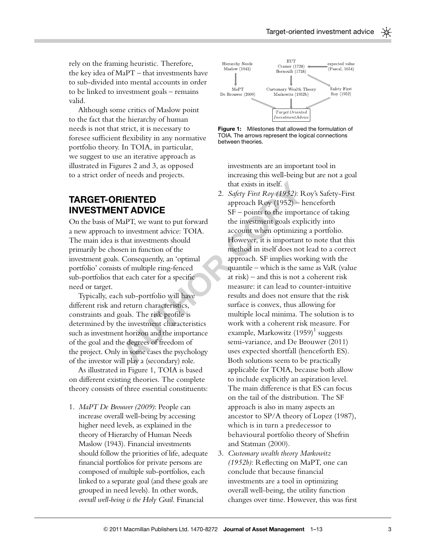rely on the framing heuristic. Therefore, the key idea of MaPT – that investments have to sub-divided into mental accounts in order to be linked to investment goals – remains valid.

Although some critics of Maslow point to the fact that the hierarchy of human needs is not that strict, it is necessary to foresee sufficient flexibility in any normative portfolio theory. In TOIA, in particular, we suggest to use an iterative approach as illustrated in Figures 2 and 3, as opposed to a strict order of needs and projects.

# TARGET-ORIENTED INVESTMENT ADVICE

On the basis of MaPT, we want to put forward a new approach to investment advice: TOIA. The main idea is that investments should primarily be chosen in function of the investment goals. Consequently, an 'optimal portfolio' consists of multiple ring-fenced sub-portfolios that each cater for a specific need or target.

Typically, each sub-portfolio will have different risk and return characteristics, constraints and goals. The risk profile is determined by the investment characteristics such as investment horizon and the importance of the goal and the degrees of freedom of the project. Only in some cases the psychology of the investor will play a (secondary) role.

As illustrated in Figure 1, TOIA is based on different existing theories. The complete theory consists of three essential constituents:

1. MaPT De Brouwer (2009): People can increase overall well-being by accessing higher need levels, as explained in the theory of Hierarchy of Human Needs Maslow (1943). Financial investments should follow the priorities of life, adequate financial portfolios for private persons are composed of multiple sub-portfolios, each linked to a separate goal (and these goals are grouped in need levels). In other words, overall well-being is the Holy Grail. Financial





investments are an important tool in increasing this well-being but are not a goal that exists in itself.

- **ENTED**<br>
2. *Safety First Roy (1952)*: Ro<br>
approach Roy (1952): Ro<br>
approach Roy (1952) her<br>
SF points to the importar<br>
daPT, we want to put forward<br>
the investment goals explic<br>
co investment advice: TOIA.<br>
account wh 2. Safety First Roy (1952): Roy's Safety-First approach Roy (1952) – henceforth SF – points to the importance of taking the investment goals explicitly into account when optimizing a portfolio. However, it is important to note that this method in itself does not lead to a correct approach. SF implies working with the quantile – which is the same as VaR (value at risk) – and this is not a coherent risk measure: it can lead to counter-intuitive results and does not ensure that the risk surface is convex, thus allowing for multiple local minima. The solution is to work with a coherent risk measure. For example, Markowitz  $(1959)^1$  suggests semi-variance, and De Brouwer (2011) uses expected shortfall (henceforth ES). Both solutions seem to be practically applicable for TOIA, because both allow to include explicitly an aspiration level. The main difference is that ES can focus on the tail of the distribution. The SF approach is also in many aspects an ancestor to SP/A theory of Lopez (1987), which is in turn a predecessor to behavioural portfolio theory of Shefrin and Statman (2000).
	- 3. Customary wealth theory Markowitz (1952b): Reflecting on MaPT, one can conclude that because financial investments are a tool in optimizing overall well-being, the utility function changes over time. However, this was first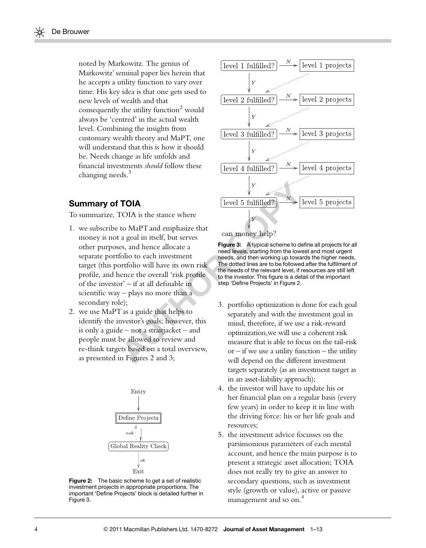noted by Markowitz. The genius of Markowitz' seminal paper lies herein that he accepts a utility function to vary over time. His key idea is that one gets used to new levels of wealth and that consequently the utility function $2$  would always be 'centred' in the actual wealth level. Combining the insights from customary wealth theory and MaPT, one will understand that this is how it should be. Needs change as life unfolds and financial investments should follow these changing needs.<sup>3</sup>

#### Summary of TOIA

To summarize, TOIA is the stance where

- **TOIA** [level 5 fulfilled?)  $\rightarrow$  N<br>
to MaPT and emphasize that<br>
a goal in itself, but serves<br>
es, and hence allocate a<br> **AUTE AUTE AUTE AUTE AUTE AND CONTABLY**<br>
es, and hence allocate a<br> **AUTE AUTE AUTE AUTE AUTE AUTE AUT** 1. we subscribe to MaPT and emphasize that money is not a goal in itself, but serves other purposes, and hence allocate a separate portfolio to each investment target (this portfolio will have its own risk profile, and hence the overall 'risk profile of the investor' – if at all definable in scientific way – plays no more than a secondary role);
- 2. we use MaPT as a guide that helps to identify the investor's goals; however, this is only a guide – not a straitjacket – and people must be allowed to review and re-think targets based on a total overview, as presented in Figures 2 and 3;



Figure 2: The basic scheme to get a set of realistic investment projects in appropriate proportions. The important 'Define Projects' block is detailed further in Figure 3.



Figure 3: A typical scheme to define all projects for all need levels, starting from the lowest and most urgent needs, and then working up towards the higher needs. The dotted lines are to be followed after the fulfilment of the needs of the relevant level, if resources are still left to the investor. This figure is a detail of the important step 'Define Projects' in Figure 2.

- 3. portfolio optimization is done for each goal separately and with the investment goal in mind, therefore, if we use a risk-reward optimization,we will use a coherent risk measure that is able to focus on the tail-risk  $or - if we use a utility function - the utility$ will depend on the different investment targets separately (as an investment target as in an asset-liability approach);
- 4. the investor will have to update his or her financial plan on a regular basis (every few years) in order to keep it in line with the driving force: his or her life goals and resources;
- 5. the investment advice focusses on the parsimonious parameters of each mental account, and hence the main purpose is to present a strategic asset allocation; TOIA does not really try to give an answer to secondary questions, such as investment style (growth or value), active or passive management and so on.<sup>4</sup>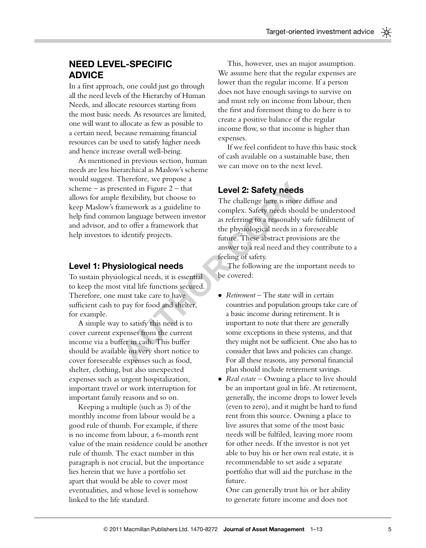## NEED LEVEL-SPECIFIC ADVICE

In a first approach, one could just go through all the need levels of the Hierarchy of Human Needs, and allocate resources starting from the most basic needs. As resources are limited, one will want to allocate as few as possible to a certain need, because remaining financial resources can be used to satisfy higher needs and hence increase overall well-being.

As mentioned in previous section, human needs are less hierarchical as Maslow's scheme would suggest. Therefore, we propose a scheme – as presented in Figure  $2$  – that allows for ample flexibility, but choose to keep Maslow's framework as a guideline to help find common language between investor and advisor, and to offer a framework that help investors to identify projects.

#### Level 1: Physiological needs

To sustain physiological needs, it is essential to keep the most vital life functions secured. Therefore, one must take care to have sufficient cash to pay for food and shelter, for example.

A simple way to satisfy this need is to cover current expenses from the current income via a buffer in cash. This buffer should be available on very short notice to cover foreseeable expenses such as food, shelter, clothing, but also unexpected expenses such as urgent hospitalization, important travel or work interruption for important family reasons and so on.

Keeping a multiple (such as 3) of the monthly income from labour would be a good rule of thumb. For example, if there is no income from labour, a 6-month rent value of the main residence could be another rule of thumb. The exact number in this paragraph is not crucial, but the importance lies herein that we have a portfolio set apart that would be able to cover most eventualities, and whose level is somehow linked to the life standard.

This, however, uses an major assumption. We assume here that the regular expenses are lower than the regular income. If a person does not have enough savings to survive on and must rely on income from labour, then the first and foremost thing to do here is to create a positive balance of the regular income flow, so that income is higher than expenses.

If we feel confident to have this basic stock of cash available on a sustainable base, then we can move on to the next level.

#### Level 2: Safety needs

The challenge here is more diffuse and complex. Safety needs should be understood as referring to a reasonably safe fulfilment of the physiological needs in a foreseeable future. These abstract provisions are the answer to a real need and they contribute to a feeling of safety.

The following are the important needs to be covered:

- Fraction, we propose a<br>
ented in Figure 2 that<br> **Level 2: Safety needs**<br>
flexibility, but choose to<br>
omplex. Safety needs<br>
on language between investor<br>
on language between investor<br>
as referring to a reasonably safe<br>
to • Retirement – The state will in certain countries and population groups take care of a basic income during retirement. It is important to note that there are generally some exceptions in these systems, and that they might not be sufficient. One also has to consider that laws and policies can change. For all these reasons, any personal financial plan should include retirement savings.
	- Real estate Owning a place to live should be an important goal in life. At retirement, generally, the income drops to lower levels (even to zero), and it might be hard to fund rent from this source. Owning a place to live assures that some of the most basic needs will be fulfiled, leaving more room for other needs. If the investor is not yet able to buy his or her own real estate, it is recommendable to set aside a separate portfolio that will aid the purchase in the future.

One can generally trust his or her ability to generate future income and does not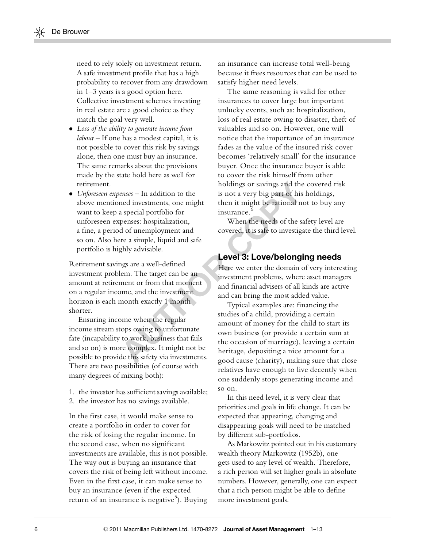need to rely solely on investment return. A safe investment profile that has a high probability to recover from any drawdown in 1–3 years is a good option here. Collective investment schemes investing in real estate are a good choice as they match the goal very well.

- $\bullet$  Loss of the ability to generate income from labour – If one has a modest capital, it is not possible to cover this risk by savings alone, then one must buy an insurance. The same remarks about the provisions made by the state hold here as well for retirement.
- Unforeseen expenses In addition to the above mentioned investments, one might want to keep a special portfolio for unforeseen expenses: hospitalization, a fine, a period of unemployment and so on. Also here a simple, liquid and safe portfolio is highly advisable.

Retirement savings are a well-defined investment problem. The target can be an amount at retirement or from that moment on a regular income, and the investment horizon is each month exactly 1 month shorter.

Ensuring income when the regular income stream stops owing to unfortunate fate (incapability to work, business that fails and so on) is more complex. It might not be possible to provide this safety via investments. There are two possibilities (of course with many degrees of mixing both):

- 1. the investor has sufficient savings available;
- 2. the investor has no savings available.

In the first case, it would make sense to create a portfolio in order to cover for the risk of losing the regular income. In the second case, when no significant investments are available, this is not possible. The way out is buying an insurance that covers the risk of being left without income. Even in the first case, it can make sense to buy an insurance (even if the expected return of an insurance is negative<sup>5</sup>). Buying

an insurance can increase total well-being because it frees resources that can be used to satisfy higher need levels.

The same reasoning is valid for other insurances to cover large but important unlucky events, such as: hospitalization, loss of real estate owing to disaster, theft of valuables and so on. However, one will notice that the importance of an insurance fades as the value of the insured risk cover becomes 'relatively small' for the insurance buyer. Once the insurance buyer is able to cover the risk himself from other holdings or savings and the covered risk is not a very big part of his holdings, then it might be rational not to buy any insurance.<sup>6</sup>

When the needs of the safety level are covered, it is safe to investigate the third level.

#### Level 3: Love/belonging needs

Here we enter the domain of very interesting investment problems, where asset managers and financial advisers of all kinds are active and can bring the most added value.

not a be the safety via investments.<br>
Alternative the main text of the safety be actional not a special portfolio for<br>
then it might be rational not<br>
a special portfolio for<br>
then it might be rational not<br>
a special portfo Typical examples are: financing the studies of a child, providing a certain amount of money for the child to start its own business (or provide a certain sum at the occasion of marriage), leaving a certain heritage, depositing a nice amount for a good cause (charity), making sure that close relatives have enough to live decently when one suddenly stops generating income and so on.

> In this need level, it is very clear that priorities and goals in life change. It can be expected that appearing, changing and disappearing goals will need to be matched by different sub-portfolios.

As Markowitz pointed out in his customary wealth theory Markowitz (1952b), one gets used to any level of wealth. Therefore, a rich person will set higher goals in absolute numbers. However, generally, one can expect that a rich person might be able to define more investment goals.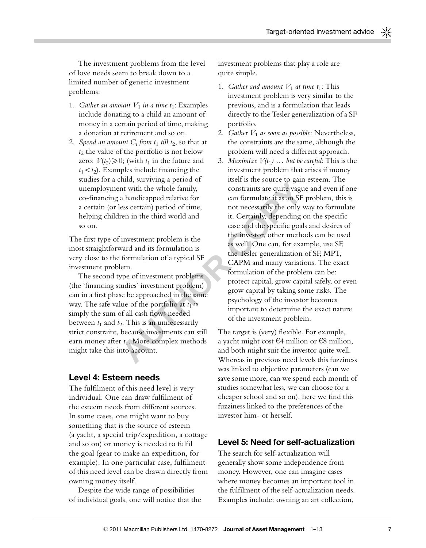The investment problems from the level of love needs seem to break down to a limited number of generic investment problems:

- 1. Gather an amount  $V_1$  in a time  $t_1$ : Examples include donating to a child an amount of money in a certain period of time, making a donation at retirement and so on.
- 2. Spend an amount  $C_t$  from  $t_1$  till  $t_2$ , so that at  $t_2$  the value of the portfolio is not below zero:  $V(t_2) \ge 0$ ; (with  $t_1$  in the future and  $t_1 < t_2$ ). Examples include financing the studies for a child, surviving a period of unemployment with the whole family, co-financing a handicapped relative for a certain (or less certain) period of time, helping children in the third world and so on.

The first type of investment problem is the most straightforward and its formulation is very close to the formulation of a typical SF investment problem.

The second type of investment problems (the 'financing studies' investment problem) can in a first phase be approached in the same way. The safe value of the portfolio at  $t_1$  is simply the sum of all cash flows needed between  $t_1$  and  $t_2$ . This is an unnecessarily strict constraint, because investments can still earn money after  $t_1$ . More complex methods might take this into account.

#### Level 4: Esteem needs

The fulfilment of this need level is very individual. One can draw fulfilment of the esteem needs from different sources. In some cases, one might want to buy something that is the source of esteem (a yacht, a special trip/expedition, a cottage and so on) or money is needed to fulfil the goal (gear to make an expedition, for example). In one particular case, fulfilment of this need level can be drawn directly from owning money itself.

Despite the wide range of possibilities of individual goals, one will notice that the investment problems that play a role are quite simple.

- 1. Gather and amount  $V_1$  at time  $t_1$ : This investment problem is very similar to the previous, and is a formulation that leads directly to the Tesler generalization of a SF portfolio.
- 2. Gather  $V_1$  as soon as possible: Nevertheless, the constraints are the same, although the problem will need a different approach.
- A strong a prior of the same of the series of the threat in the three constraints are quite vague a<br>
a handicapped relative for can formulate it as an SF pr<br>
less certain) period of time, not necessarily the only was<br>
ren 3. Maximize  $V(t_1)$  ... but be careful: This is the investment problem that arises if money itself is the source to gain esteem. The constraints are quite vague and even if one can formulate it as an SF problem, this is not necessarily the only way to formulate it. Certainly, depending on the specific case and the specific goals and desires of the investor, other methods can be used as well. One can, for example, use SF, the Tesler generalization of SF, MPT, CAPM and many variations. The exact formulation of the problem can be: protect capital, grow capital safely, or even grow capital by taking some risks. The psychology of the investor becomes important to determine the exact nature of the investment problem.

The target is (very) flexible. For example, a yacht might cost  $\epsilon$ 4 million or  $\epsilon$ 8 million, and both might suit the investor quite well. Whereas in previous need levels this fuzziness was linked to objective parameters (can we save some more, can we spend each month of studies somewhat less, we can choose for a cheaper school and so on), here we find this fuzziness linked to the preferences of the investor him- or herself.

#### Level 5: Need for self-actualization

The search for self-actualization will generally show some independence from money. However, one can imagine cases where money becomes an important tool in the fulfilment of the self-actualization needs. Examples include: owning an art collection,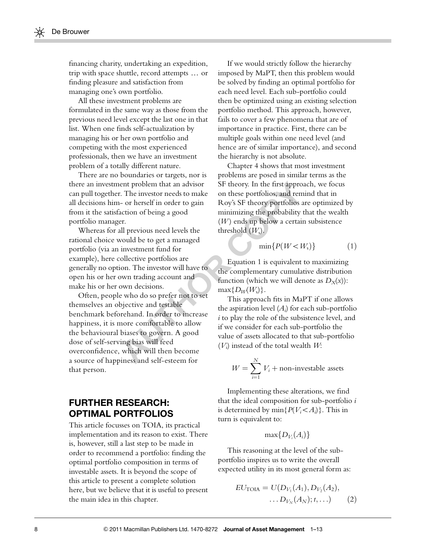financing charity, undertaking an expedition, trip with space shuttle, record attempts  $\ldots$  or finding pleasure and satisfaction from managing one's own portfolio.

All these investment problems are formulated in the same way as those from the previous need level except the last one in that list. When one finds self-actualization by managing his or her own portfolio and competing with the most experienced professionals, then we have an investment problem of a totally different nature.

There are no boundaries or targets, nor is there an investment problem that an advisor can pull together. The investor needs to make all decisions him- or herself in order to gain from it the satisfaction of being a good portfolio manager.

Whereas for all previous need levels the rational choice would be to get a managed portfolio (via an investment fund for example), here collective portfolios are generally no option. The investor will have to open his or her own trading account and make his or her own decisions.

ent problem that an advisor and these portfolios, and reminded the intervals of the intervals of being a good in this propertion of being a good intervals of the selection of being a good intervals of the selection of bei Often, people who do so prefer not to set themselves an objective and testable benchmark beforehand. In order to increase happiness, it is more comfortable to allow the behavioural biases to govern. A good dose of self-serving bias will feed overconfidence, which will then become a source of happiness and self-esteem for that person.

# FURTHER RESEARCH: OPTIMAL PORTFOLIOS

This article focusses on TOIA, its practical implementation and its reason to exist. There is, however, still a last step to be made in order to recommend a portfolio: finding the optimal portfolio composition in terms of investable assets. It is beyond the scope of this article to present a complete solution here, but we believe that it is useful to present the main idea in this chapter.

If we would strictly follow the hierarchy imposed by MaPT, then this problem would be solved by finding an optimal portfolio for each need level. Each sub-portfolio could then be optimized using an existing selection portfolio method. This approach, however, fails to cover a few phenomena that are of importance in practice. First, there can be multiple goals within one need level (and hence are of similar importance), and second the hierarchy is not absolute.

Chapter 4 shows that most investment problems are posed in similar terms as the SF theory. In the first approach, we focus on these portfolios, and remind that in Roy's SF theory portfolios are optimized by minimizing the probability that the wealth  $(W)$  ends up below a certain subsistence threshold  $(W_s)$ .

$$
\min\{P(W
$$

Equation 1 is equivalent to maximizing the complementary cumulative distribution function (which we will denote as  $D_X(x)$ ):  $max\{D_W(W_s)\}.$ 

This approach fits in MaPT if one allows the aspiration level  $(A_i)$  for each sub-portfolio i to play the role of the subsistence level, and if we consider for each sub-portfolio the value of assets allocated to that sub-portfolio  $(V_i)$  instead of the total wealth  $W$ :

$$
W = \sum_{i=1}^{N} V_i + \text{non-investable assets}
$$

Implementing these alterations, we find that the ideal composition for sub-portfolio i is determined by  $\min\{P(V_i < A_i)\}\.$  This in turn is equivalent to:

$$
\max\{D_{V_i}(A_i)\}
$$

This reasoning at the level of the subportfolio inspires us to write the overall expected utility in its most general form as:

$$
EU_{\text{TOIA}} = U(D_{V_1}(A_1), D_{V_2}(A_2), \dots, D_{V_N}(A_N); t, \dots)
$$
 (2)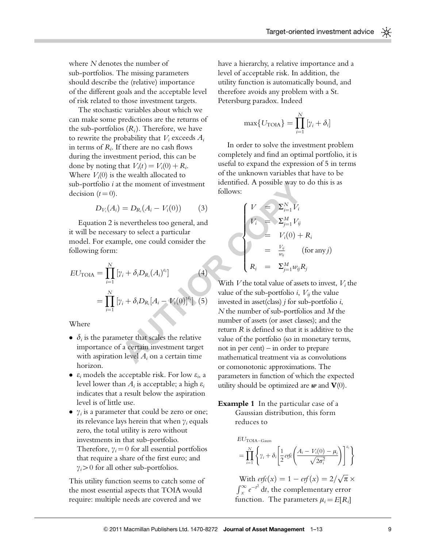where N denotes the number of sub-portfolios. The missing parameters should describe the (relative) importance of the different goals and the acceptable level of risk related to those investment targets.

The stochastic variables about which we can make some predictions are the returns of the sub-portfolios  $(R_i)$ . Therefore, we have to rewrite the probability that  $V_i$  exceeds  $A_i$ in terms of  $R_i$ . If there are no cash flows during the investment period, this can be done by noting that  $V_i(t) = V_i(0) + R_i$ . Where  $V_i(0)$  is the wealth allocated to sub-portfolio  $i$  at the moment of investment decision  $(t = 0)$ .

$$
D_{V_i}(A_i) = D_{R_i}(A_i - V_i(0))
$$
 (3)

Equation 2 is nevertheless too general, and it will be necessary to select a particular model. For example, one could consider the following form:

$$
EU_{\text{TOIA}} = \prod_{i=1}^{N} [\gamma_i + \delta_i D_{R_i} (A_i)^{e_i}]
$$
  
= 
$$
\prod_{i=1}^{N} [\gamma_i + \delta_i D_{R_i} [A_i - V_i(0)]^{e_i}]
$$
 (5)

**Where** 

- $\bullet$   $\delta_i$  is the parameter that scales the relative importance of a certain investment target with aspiration level  $A_i$  on a certain time horizon.
- $\varepsilon_i$  models the acceptable risk. For low  $\varepsilon_i$ , a level lower than  $A_i$  is acceptable; a high  $\varepsilon_i$ indicates that a result below the aspiration level is of little use.
- $\bullet$   $\gamma_i$  is a parameter that could be zero or one; its relevance lays herein that when  $\gamma_i$  equals zero, the total utility is zero without investments in that sub-portfolio. Therefore,  $\gamma_i = 0$  for all essential portfolios that require a share of the first euro; and  $\gamma_i > 0$  for all other sub-portfolios.

This utility function seems to catch some of the most essential aspects that TOIA would require: multiple needs are covered and we

have a hierarchy, a relative importance and a level of acceptable risk. In addition, the utility function is automatically bound, and therefore avoids any problem with a St. Petersburg paradox. Indeed

$$
\max\{U_{\text{TOIA}}\} = \prod_{i=1}^{N} [\gamma_i + \delta_i]
$$

In order to solve the investment problem completely and find an optimal portfolio, it is useful to expand the expression of 5 in terms of the unknown variables that have to be identified. A possible way to do this is as follows:

$$
\begin{cases}\nV &= \sum_{i=1}^{N} V_i \\
V_i &= \sum_{j=1}^{M} V_{ij} \\
&= V_i(0) + R_i \\
&= \frac{V_{ij}}{w_{ij}} \qquad \text{(for any } j) \\
R_i &= \sum_{j=1}^{M} w_{ij} R_j\n\end{cases}
$$

the moment of investment<br>
follows:<br>  $= D_{R_i}(A_i - V_i(0))$  (3)<br>
nevertheless too general, and<br>
nevertheless too general, and<br>
y to select a particular<br>
ple, one could consider the<br>  $\gamma_i + \delta_i D_{R_i}[A_i - V_i(0)]^8$  (4)<br>  $\gamma_i + \delta_i D_{R_i}[A_i -$ With  $V$  the total value of assets to invest,  $V_i$  the value of the sub-portfolio *i*,  $V_{ij}$  the value invested in asset(class)  $j$  for sub-portfolio  $i$ , N the number of sub-portfolios and M the number of assets (or asset classes); and the return R is defined so that it is additive to the value of the portfolio (so in monetary terms, not in per cent) – in order to prepare mathematical treatment via as convolutions or comonotonic approximations. The parameters in function of which the expected utility should be optimized are  $w$  and  $V(0)$ .

> **Example 1** In the particular case of a Gaussian distribution, this form reduces to

$$
EUTOIA-Gauss
$$
  
= 
$$
\prod_{i=1}^{N} \left\{ \gamma_i + \delta_i \left[ \frac{1}{2} \operatorname{erfc} \left( \frac{A_i - V_i(0) - \mu_i}{\sqrt{2\sigma_i^2}} \right) \right]^{e_i} \right\}
$$

With  $\text{erfc}(x) = 1 - \text{erf}(x) = 2/\sqrt{\pi} \times$  $\int_{x}^{\infty} e^{-t^2} dt$ , the complementary error function. The parameters  $\mu_i = E[R_i]$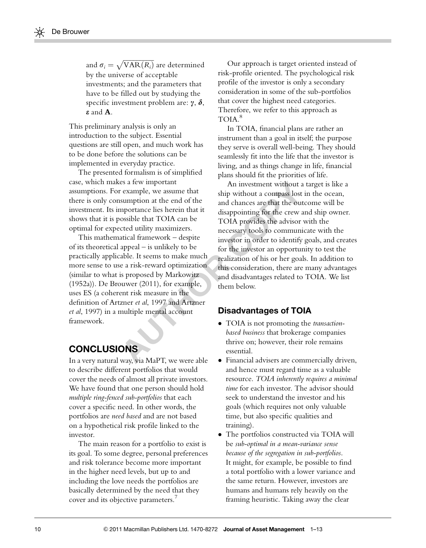and  $\sigma_i = \sqrt{\text{VAR}(R_i)}$  are determined by the universe of acceptable investments; and the parameters that have to be filled out by studying the specific investment problem are:  $\gamma$ ,  $\delta$ , e and A.

This preliminary analysis is only an introduction to the subject. Essential questions are still open, and much work has to be done before the solutions can be implemented in everyday practice.

The presented formalism is of simplified case, which makes a few important assumptions. For example, we assume that there is only consumption at the end of the investment. Its importance lies herein that it shows that it is possible that TOIA can be optimal for expected utility maximizers.

This mathematical framework – despite of its theoretical appeal – is unlikely to be practically applicable. It seems to make much more sense to use a risk-reward optimization (similar to what is proposed by Markowitz (1952a)). De Brouwer (2011), for example, uses ES (a coherent risk measure in the definition of Artzner et al, 1997 and Artzner et al, 1997) in a multiple mental account framework.

# **CONCLUSIONS**

In a very natural way, via MaPT, we were able to describe different portfolios that would cover the needs of almost all private investors. We have found that one person should hold multiple ring-fenced sub-portfolios that each cover a specific need. In other words, the portfolios are need based and are not based on a hypothetical risk profile linked to the investor.

The main reason for a portfolio to exist is its goal. To some degree, personal preferences and risk tolerance become more important in the higher need levels, but up to and including the love needs the portfolios are basically determined by the need that they cover and its objective parameters.<sup>7</sup>

Our approach is target oriented instead of risk-profile oriented. The psychological risk profile of the investor is only a secondary consideration in some of the sub-portfolios that cover the highest need categories. Therefore, we refer to this approach as TOIA.8

In TOIA, financial plans are rather an instrument than a goal in itself; the purpose they serve is overall well-being. They should seamlessly fit into the life that the investor is living, and as things change in life, financial plans should fit the priorities of life.

Example, we assume that<br>
say a few important<br>
mumpion at the end of the<br>
myortance lies herein that it<br>
and chances are that the outco<br>
myortance lies herein that it<br>
disappointing for the crew and<br>
ossible that TOIA can b An investment without a target is like a ship without a compass lost in the ocean, and chances are that the outcome will be disappointing for the crew and ship owner. TOIA provides the advisor with the necessary tools to communicate with the investor in order to identify goals, and creates for the investor an opportunity to test the realization of his or her goals. In addition to this consideration, there are many advantages and disadvantages related to TOIA. We list them below.

#### Disadvantages of TOIA

- TOIA is not promoting the transactionbased business that brokerage companies thrive on; however, their role remains essential.
- Financial advisers are commercially driven, and hence must regard time as a valuable resource. TOIA inherently requires a minimal time for each investor. The advisor should seek to understand the investor and his goals (which requires not only valuable time, but also specific qualities and training).
- The portfolios constructed via TOIA will be sub-optimal in a mean-variance sense because of the segregation in sub-portfolios. It might, for example, be possible to find a total portfolio with a lower variance and the same return. However, investors are humans and humans rely heavily on the framing heuristic. Taking away the clear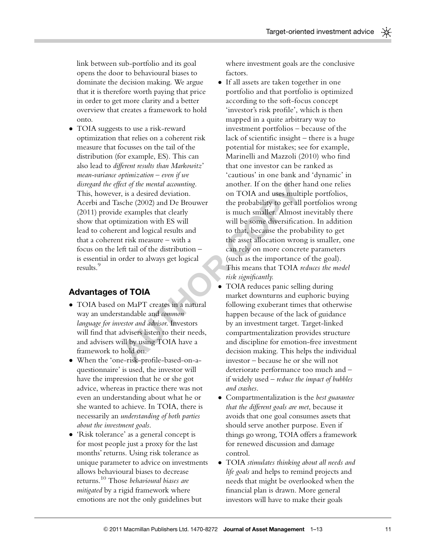link between sub-portfolio and its goal opens the door to behavioural biases to dominate the decision making. We argue that it is therefore worth paying that price in order to get more clarity and a better overview that creates a framework to hold onto.

- TOIA suggests to use a risk-reward optimization that relies on a coherent risk measure that focusses on the tail of the distribution (for example, ES). This can also lead to different results than Markowitz' mean-variance optimization – even if we disregard the effect of the mental accounting. This, however, is a desired deviation. Acerbi and Tasche (2002) and De Brouwer (2011) provide examples that clearly show that optimization with ES will lead to coherent and logical results and that a coherent risk measure – with a focus on the left tail of the distribution – is essential in order to always get logical results.<sup>9</sup>

#### Advantages of TOIA

- TOIA based on MaPT creates in a natural way an understandable and common language for investor and advisor. Investors will find that advisers listen to their needs, and advisers will by using TOIA have a framework to hold on.
- When the 'one-risk-profile-based-on-aquestionnaire' is used, the investor will have the impression that he or she got advice, whereas in practice there was not even an understanding about what he or she wanted to achieve. In TOIA, there is necessarily an understanding of both parties about the investment goals.
- 'Risk tolerance' as a general concept is for most people just a proxy for the last months' returns. Using risk tolerance as unique parameter to advice on investments allows behavioural biases to decrease returns.10 Those behavioural biases are mitigated by a rigid framework where emotions are not the only guidelines but

where investment goals are the conclusive factors.

- For examples the mental accunting.<br>
The scheen of the mental accunting.<br>
The schee (2002) and De Brouwer the probability to get all po<br>
e examples that clearly is much smaller. Almost in<br>
imization with ES will will be som - If all assets are taken together in one portfolio and that portfolio is optimized according to the soft-focus concept 'investor's risk profile', which is then mapped in a quite arbitrary way to investment portfolios – because of the lack of scientific insight – there is a huge potential for mistakes; see for example, Marinelli and Mazzoli (2010) who find that one investor can be ranked as 'cautious' in one bank and 'dynamic' in another. If on the other hand one relies on TOIA and uses multiple portfolios, the probability to get all portfolios wrong is much smaller. Almost inevitably there will be some diversification. In addition to that, because the probability to get the asset allocation wrong is smaller, one can rely on more concrete parameters (such as the importance of the goal). This means that TOIA reduces the model risk significantly.
	- $\bullet$  TOIA reduces panic selling during market downturns and euphoric buying following exuberant times that otherwise happen because of the lack of guidance by an investment target. Target-linked compartmentalization provides structure and discipline for emotion-free investment decision making. This helps the individual investor – because he or she will not deteriorate performance too much and – if widely used – reduce the impact of bubbles and crashes.
	- Compartmentalization is the best guarantee that the different goals are met, because it avoids that one goal consumes assets that should serve another purpose. Even if things go wrong, TOIA offers a framework for renewed discussion and damage control.
	- TOIA stimulates thinking about all needs and life goals and helps to remind projects and needs that might be overlooked when the financial plan is drawn. More general investors will have to make their goals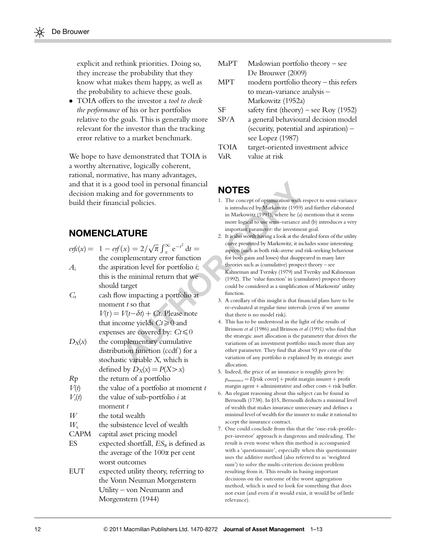explicit and rethink priorities. Doing so, they increase the probability that they know what makes them happy, as well as the probability to achieve these goals.

• TOIA offers to the investor a tool to check the performance of his or her portfolios relative to the goals. This is generally more relevant for the investor than the tracking error relative to a market benchmark.

We hope to have demonstrated that TOIA is a worthy alternative, logically coherent, rational, normative, has many advantages, and that it is a good tool in personal financial decision making and for governments to build their financial policies.

## **NOMENCLATURE**

|                                        | and that it is a good tool in personal financial                                                                                                                                                             |  | <b>NOTES</b>                                                                                                                                                                                                                                                                                                      |  |
|----------------------------------------|--------------------------------------------------------------------------------------------------------------------------------------------------------------------------------------------------------------|--|-------------------------------------------------------------------------------------------------------------------------------------------------------------------------------------------------------------------------------------------------------------------------------------------------------------------|--|
| decision making and for governments to |                                                                                                                                                                                                              |  |                                                                                                                                                                                                                                                                                                                   |  |
|                                        | build their financial policies.                                                                                                                                                                              |  | 1. The concept of optimization with resp<br>is introduced by Markowitz (1959) and<br>in Markowitz (1991), where he (a) me<br>more logical to use semi-variance and                                                                                                                                                |  |
|                                        | <b>NOMENCLATURE</b>                                                                                                                                                                                          |  | important parameter: the investment g<br>2. It is also worth having a look at the detai                                                                                                                                                                                                                           |  |
| $A_i$                                  | $erfc(x) = 1 - erf(x) = 2/\sqrt{\pi} \int_{x}^{\infty} e^{-t^2} dt =$<br>the complementary error function<br>the aspiration level for portfolio $i$ ;<br>this is the minimal return that we<br>should target |  | curve presented by Markowitz; it include<br>aspects (such as both risk-averse and risk<br>for both gains and losses) that disappeare<br>theories such as (cumulative) prospect tl<br>Kahneman and Tversky (1979) and Tve<br>(1992). The 'value function' in (cumula<br>could be considered as a simplification of |  |
| $C_t$                                  | cash flow impacting a portfolio at<br>moment t so that<br>$V(t) = V(t-\delta t) + Ct$ . Please note<br>that income yields $Ct \ge 0$ and<br>expenses are covered by: $Ct \leq 0$                             |  | function.<br>3. A corollary of this insight is that finand<br>re-evaluated at regular time intervals (6<br>that there is no model risk).<br>4. This has to be understood in the light<br>Brinson et al (1986) and Brinson et al (<br>the strategic asset allocation is the para                                   |  |
| $D_X(x)$                               | the complementary cumulative<br>distribution function (ccdf) for a<br>stochastic variable $X$ , which is<br>defined by $D_X(x) = P(X > x)$                                                                   |  | variations of an investment portfolio n<br>other parameter. They find that about<br>variation of any portfolio is explained<br>allocation.<br>5. Indeed, the price of an insurance is rot                                                                                                                         |  |
| Rp                                     | the return of a portfolio                                                                                                                                                                                    |  | $p_{\text{insurance}} = E[\text{risk cover}] + \text{profit margin}$                                                                                                                                                                                                                                              |  |
| V(t)<br>$V_i(t)$                       | the value of a portfolio at moment $t$<br>the value of sub-portfolio <i>i</i> at<br>moment t                                                                                                                 |  | margin agent + administrative and other<br>6. An elegant reasoning about this subjec<br>Bernoulli (1738). In §15, Bernoulli de<br>of wealth that makes insurance unnece                                                                                                                                           |  |
| W                                      | the total wealth                                                                                                                                                                                             |  | minimal level of wealth for the insurer                                                                                                                                                                                                                                                                           |  |
| $W_{\rm s}$                            | the subsistence level of wealth                                                                                                                                                                              |  | accept the insurance contract.                                                                                                                                                                                                                                                                                    |  |
| <b>CAPM</b>                            | capital asset pricing model                                                                                                                                                                                  |  | 7. One could conclude from this that th<br>per-investor' approach is dangerous a                                                                                                                                                                                                                                  |  |
| ES                                     | expected shortfall, $ES_{\alpha}$ is defined as                                                                                                                                                              |  | result is even worse when this metho-                                                                                                                                                                                                                                                                             |  |
|                                        | the average of the 100x per cent                                                                                                                                                                             |  | with a 'questionnaire', especially whe                                                                                                                                                                                                                                                                            |  |
|                                        | worst outcomes                                                                                                                                                                                               |  | uses the additive method (also referre<br>sum') to solve the multi-criterion dec                                                                                                                                                                                                                                  |  |
| <b>EUT</b>                             | expected utility theory, referring to                                                                                                                                                                        |  | resulting from it. This results in basin                                                                                                                                                                                                                                                                          |  |
|                                        | the Vonn Neuman Morgenstern                                                                                                                                                                                  |  | decisions on the outcome of the wors                                                                                                                                                                                                                                                                              |  |
|                                        | Utility – von Neumann and                                                                                                                                                                                    |  | method, which is used to look for sor<br>not exist (and even if it would exist, i                                                                                                                                                                                                                                 |  |
|                                        | Morgenstern (1944)                                                                                                                                                                                           |  | relevance).                                                                                                                                                                                                                                                                                                       |  |

| MaPT Maslowian portfolio theory – see |
|---------------------------------------|
| De Brouwer $(2009)$                   |

- MPT modern portfolio theory this refers to mean-variance analysis – Markowitz (1952a)
- SF safety first (theory) see Roy (1952)
- SP/A a general behavioural decision model (security, potential and aspiration) – see Lopez (1987)

TOIA target-oriented investment advice VaR value at risk

# **NOTES**

- 1. The concept of optimization with respect to semi-variance is introduced by Markowitz (1959) and further elaborated in Markowitz (1991), where he (a) mentions that it seems more logical to use semi-variance and (b) introduces a very important parameter: the investment goal.
- 2. It is also worth having a look at the detailed form of the utility curve presented by Markowitz; it includes some interesting aspects (such as both risk-averse and risk-seeking behaviour for both gains and losses) that disappeared in many later theories such as (cumulative) prospect theory – see Kahneman and Tversky (1979) and Tversky and Kahneman (1992). The 'value function' in (cumulative) prospect theory could be considered as a simplification of Markowitz' utility function.
- 3. A corollary of this insight is that financial plans have to be re-evaluated at regular time intervals (even if we assume that there is no model risk).
- 4. This has to be understood in the light of the results of Brinson et al (1986) and Brinson et al (1991) who find that the strategic asset allocation is the parameter that drives the variations of an investment portfolio much more than any other parameter. They find that about 93 per cent of the variation of any portfolio is explained by its strategic asset allocation.
- 5. Indeed, the price of an insurance is roughly given by:  $p_{\text{insurance}} = E[\text{risk cover}] + \text{profit margin insurance} + \text{profit}$ margin agent  $+$  administrative and other costs  $+$  risk buffer.
- 6. An elegant reasoning about this subject can be found in Bernoulli (1738). In §15, Bernoulli deducts a minimal level of wealth that makes insurance unnecessary and defines a minimal level of wealth for the insurer to make it rational to accept the insurance contract.
- 7. One could conclude from this that the 'one-risk-profileper-investor' approach is dangerous and misleading. The result is even worse when this method is accompanied with a 'questionnaire', especially when this questionnaire uses the additive method (also referred to as 'weighted sum') to solve the multi-criterion decision problem resulting from it. This results in basing important decisions on the outcome of the worst aggregation method, which is used to look for something that does not exist (and even if it would exist, it would be of little relevance).